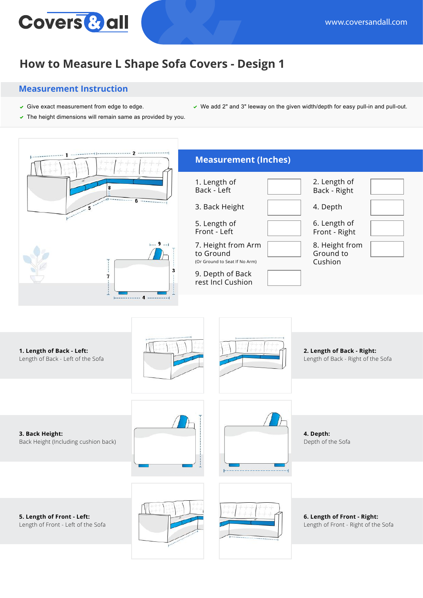## Covers<sup>&</sup> all

## **How to Measure L Shape Sofa Covers - Design 1**

## **Measurement Instruction**

- Give exact measurement from edge to edge. We add 2" and 3" leeway on the given width/depth for easy pull-in and pull-out.
- $\triangledown$  The height dimensions will remain same as provided by you.
- **Measurement (Inches)** 1. Length of 2. Length of Back - Left Back - Right 3. Back Height 4. Depth 5. Length of 6. Length of Front - Left Front - Right  $-9 -$ 8. Height from 7. Height from Arm to Ground Ground to (Or Ground to Seat If No Arm) Cushion 3 9. Depth of Back  $\overline{7}$ rest Incl Cushion  $-$  4  $-$ **1. Length of Back - Left: 2. Length of Back - Right:** Length of Back - Left of the Sofa Length of Back - Right of the Sofa **3. Back Height: 4. Depth:** Back Height (Including cushion back) Depth of the Sofa **6. Length of Front - Right: 5. Length of Front - Left:** Length of Front - Left of the Sofa Length of Front - Right of the Sofa